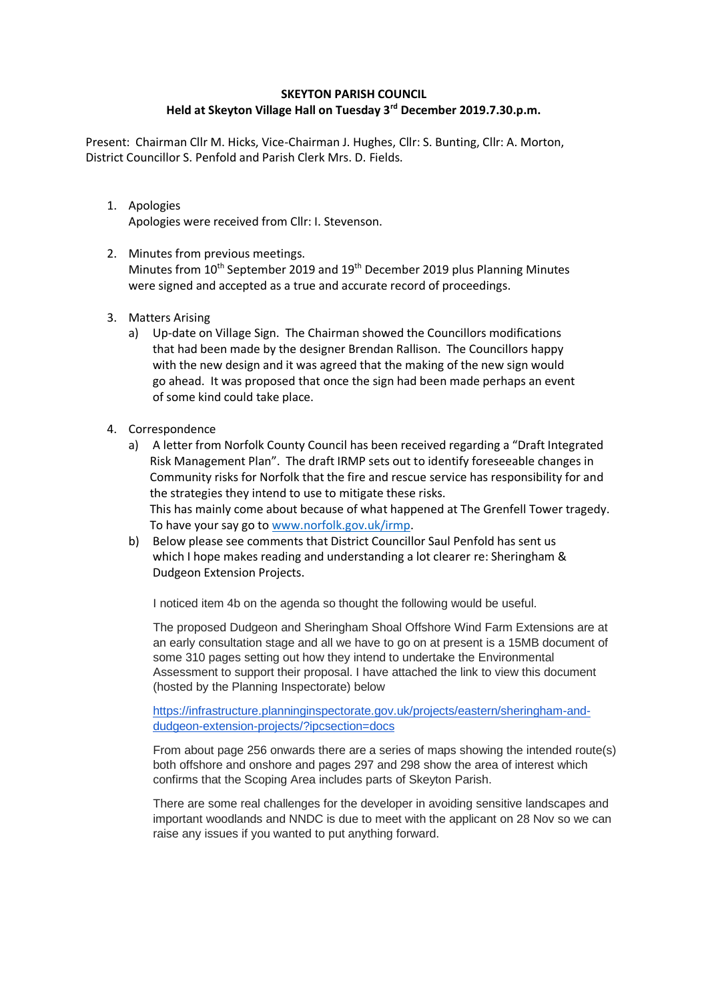## **SKEYTON PARISH COUNCIL Held at Skeyton Village Hall on Tuesday 3rd December 2019.7.30.p.m.**

Present: Chairman Cllr M. Hicks, Vice-Chairman J. Hughes, Cllr: S. Bunting, Cllr: A. Morton, District Councillor S. Penfold and Parish Clerk Mrs. D. Fields.

- 1. Apologies Apologies were received from Cllr: I. Stevenson.
- 2. Minutes from previous meetings. Minutes from 10<sup>th</sup> September 2019 and 19<sup>th</sup> December 2019 plus Planning Minutes were signed and accepted as a true and accurate record of proceedings.
- 3. Matters Arising
	- a) Up-date on Village Sign. The Chairman showed the Councillors modifications that had been made by the designer Brendan Rallison. The Councillors happy with the new design and it was agreed that the making of the new sign would go ahead. It was proposed that once the sign had been made perhaps an event of some kind could take place.
- 4. Correspondence
	- a) A letter from Norfolk County Council has been received regarding a "Draft Integrated Risk Management Plan". The draft IRMP sets out to identify foreseeable changes in Community risks for Norfolk that the fire and rescue service has responsibility for and the strategies they intend to use to mitigate these risks. This has mainly come about because of what happened at The Grenfell Tower tragedy. To have your say go to [www.norfolk.gov.uk/irmp.](http://www.norfolk.gov.uk/irmp)
	- b) Below please see comments that District Councillor Saul Penfold has sent us which I hope makes reading and understanding a lot clearer re: Sheringham & Dudgeon Extension Projects.

I noticed item 4b on the agenda so thought the following would be useful.

The proposed Dudgeon and Sheringham Shoal Offshore Wind Farm Extensions are at an early consultation stage and all we have to go on at present is a 15MB document of some 310 pages setting out how they intend to undertake the Environmental Assessment to support their proposal. I have attached the link to view this document (hosted by the Planning Inspectorate) below

[https://infrastructure.planninginspectorate.gov.uk/projects/eastern/sheringham-and](https://infrastructure.planninginspectorate.gov.uk/projects/eastern/sheringham-and-dudgeon-extension-projects/?ipcsection=docs)[dudgeon-extension-projects/?ipcsection=docs](https://infrastructure.planninginspectorate.gov.uk/projects/eastern/sheringham-and-dudgeon-extension-projects/?ipcsection=docs)

From about page 256 onwards there are a series of maps showing the intended route(s) both offshore and onshore and pages 297 and 298 show the area of interest which confirms that the Scoping Area includes parts of Skeyton Parish.

There are some real challenges for the developer in avoiding sensitive landscapes and important woodlands and NNDC is due to meet with the applicant on 28 Nov so we can raise any issues if you wanted to put anything forward.